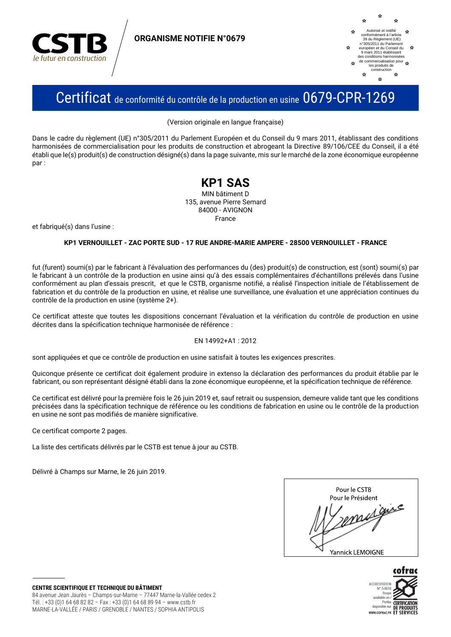

**ORGANISME NOTIFIE N°0679** 



## Certificat de conformité du contrôle de la production en usine 0679-CPR-1269

(Version originale en langue française)

Dans le cadre du règlement (UE) n°305/2011 du Parlement Européen et du Conseil du 9 mars 2011, établissant des conditions harmonisées de commercialisation pour les produits de construction et abrogeant la Directive 89/106/CEE du Conseil, il a été établi que le(s) produit(s) de construction désigné(s) dans la page suivante, mis sur le marché de la zone économique européenne nar:

### **KP1 SAS**

MIN bâtiment D 135, avenue Pierre Semard 84000 - AVIGNON France

et fabriqué(s) dans l'usine :

#### KP1 VERNOUILLET - ZAC PORTE SUD - 17 RUE ANDRE-MARIE AMPERE - 28500 VERNOUILLET - FRANCE

fut (furent) soumi(s) par le fabricant à l'évaluation des performances du (des) produit(s) de construction, est (sont) soumi(s) par le fabricant à un contrôle de la production en usine ainsi qu'à des essais complémentaires d'échantillons prélevés dans l'usine conformément au plan d'essais prescrit, et que le CSTB, organisme notifié, a réalisé l'inspection initiale de l'établissement de fabrication et du contrôle de la production en usine, et réalise une surveillance, une évaluation et une appréciation continues du contrôle de la production en usine (système 2+).

Ce certificat atteste que toutes les dispositions concernant l'évaluation et la vérification du contrôle de production en usine décrites dans la spécification technique harmonisée de référence :

#### EN 14992+A1: 2012

sont appliquées et que ce contrôle de production en usine satisfait à toutes les exigences prescrites.

Quiconque présente ce certificat doit également produire in extenso la déclaration des performances du produit établie par le fabricant, ou son représentant désigné établi dans la zone économique européenne, et la spécification technique de référence.

Ce certificat est délivré pour la première fois le 26 juin 2019 et, sauf retrait ou suspension, demeure valide tant que les conditions précisées dans la spécification technique de référence ou les conditions de fabrication en usine ou le contrôle de la production en usine ne sont pas modifiés de manière significative.

Ce certificat comporte 2 pages.

La liste des certificats délivrés par le CSTB est tenue à jour au CSTB.

Délivré à Champs sur Marne, le 26 juin 2019.

| Pour le CSTB      |
|-------------------|
| Pour le Président |
| $\lambda$ e       |
| Yannick LEMOIGNE  |

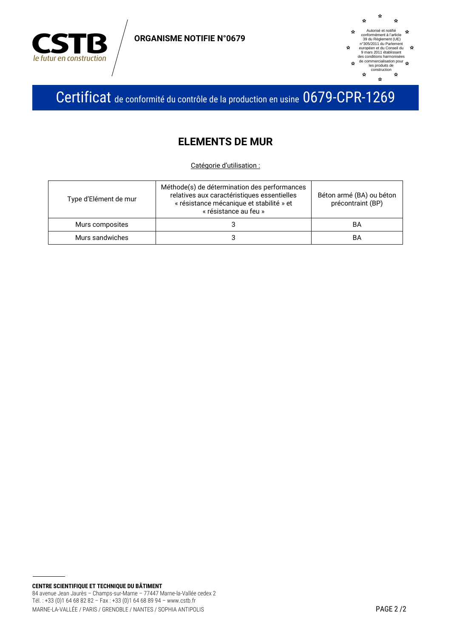

**ORGANISME NOTIFIE N°0679** 



Certificat de conformité du contrôle de la production en usine 0679-CPR-1269

### **ELEMENTS DE MUR**

Catégorie d'utilisation :

| Type d'Elément de mur | Méthode(s) de détermination des performances<br>relatives aux caractéristiques essentielles<br>« résistance mécanique et stabilité » et<br>« résistance au feu » | Béton armé (BA) ou béton<br>précontraint (BP) |
|-----------------------|------------------------------------------------------------------------------------------------------------------------------------------------------------------|-----------------------------------------------|
| Murs composites       |                                                                                                                                                                  | BA                                            |
| Murs sandwiches       |                                                                                                                                                                  | BA                                            |

**CENTRE SCIENTIFIQUE ET TECHNIQUE DU BÂTIMENT** 84 avenue Jean Jaurès - Champs-sur-Marne - 77447 Marne-la-Vallée cedex 2 Tél.: +33 (0)1 64 68 82 82 - Fax: +33 (0)1 64 68 89 94 - www.cstb.fr MARNE-LA-VALLÉE / PARIS / GRENOBLE / NANTES / SOPHIA ANTIPOLIS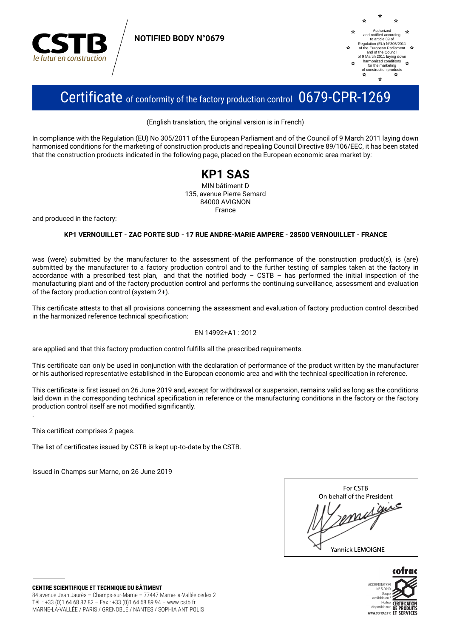

**NOTIFIED BODY N°0679**



## Certificate of conformity of the factory production control 0679-CPR-1269

(English translation, the original version is in French)

In compliance with the Regulation (EU) No 305/2011 of the European Parliament and of the Council of 9 March 2011 laying down harmonised conditions for the marketing of construction products and repealing Council Directive 89/106/EEC, it has been stated that the construction products indicated in the following page, placed on the European economic area market by:



and produced in the factory:

#### **KP1 VERNOUILLET - ZAC PORTE SUD - 17 RUE ANDRE-MARIE AMPERE - 28500 VERNOUILLET - FRANCE**

was (were) submitted by the manufacturer to the assessment of the performance of the construction product(s), is (are) submitted by the manufacturer to a factory production control and to the further testing of samples taken at the factory in accordance with a prescribed test plan, and that the notified body – CSTB – has performed the initial inspection of the manufacturing plant and of the factory production control and performs the continuing surveillance, assessment and evaluation of the factory production control (system 2+).

This certificate attests to that all provisions concerning the assessment and evaluation of factory production control described in the harmonized reference technical specification:

#### EN 14992+A1 : 2012

are applied and that this factory production control fulfills all the prescribed requirements.

This certificate can only be used in conjunction with the declaration of performance of the product written by the manufacturer or his authorised representative established in the European economic area and with the technical specification in reference.

This certificate is first issued on 26 June 2019 and, except for withdrawal or suspension, remains valid as long as the conditions laid down in the corresponding technical specification in reference or the manufacturing conditions in the factory or the factory production control itself are not modified significantly.

This certificat comprises 2 pages.

.

The list of certificates issued by CSTB is kept up-to-date by the CSTB.

Issued in Champs sur Marne, on 26 June 2019

| For CSTB                   |
|----------------------------|
| On behalf of the President |
| ℯ                          |
| Yannick LEMOIGNE           |



**CENTRE SCIENTIFIQUE ET TECHNIQUE DU BÂTIMENT** 84 avenue Jean Jaurès – Champs-sur-Marne – 77447 Marne-la-Vallée cedex 2 Tél. : +33 (0)1 64 68 82 82 – Fax : +33 (0)1 64 68 89 94 – www.cstb.fr MARNE-LA-VALLÉE / PARIS / GRENOBLE / NANTES / SOPHIA ANTIPOLIS